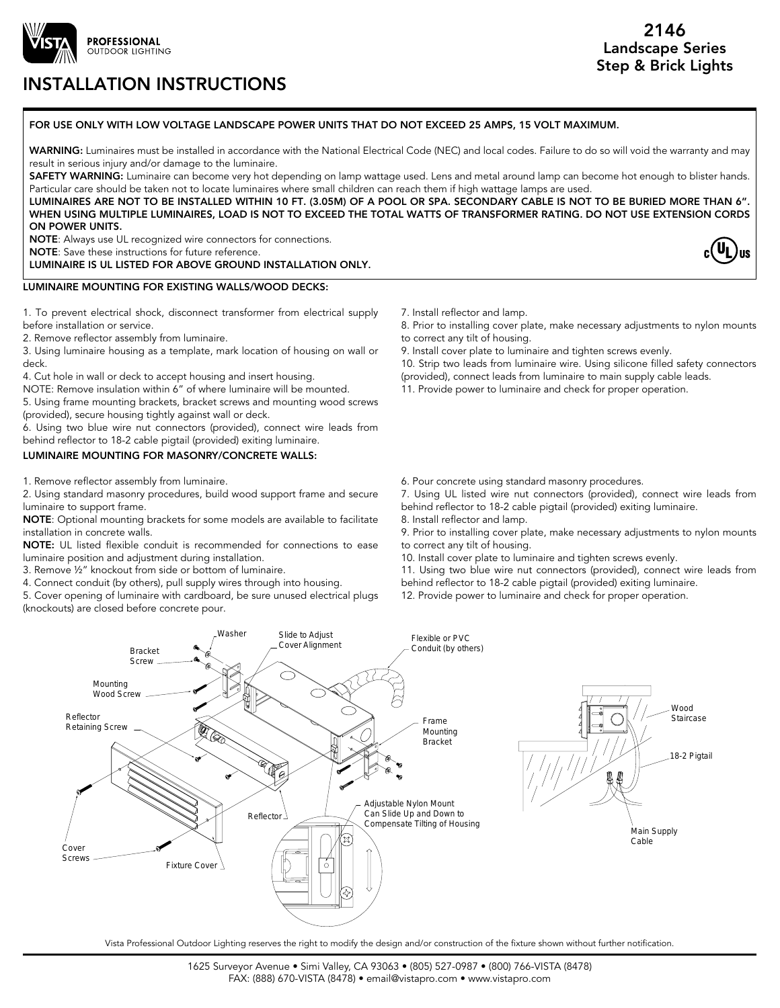

# INSTALLATION INSTRUCTIONS

### FOR USE ONLY WITH LOW VOLTAGE LANDSCAPE POWER UNITS THAT DO NOT EXCEED 25 AMPS, 15 VOLT MAXIMUM.

WARNING: Luminaires must be installed in accordance with the National Electrical Code (NEC) and local codes. Failure to do so will void the warranty and may result in serious injury and/or damage to the luminaire.

SAFETY WARNING: Luminaire can become very hot depending on lamp wattage used. Lens and metal around lamp can become hot enough to blister hands. Particular care should be taken not to locate luminaires where small children can reach them if high wattage lamps are used.

LUMINAIRES ARE NOT TO BE INSTALLED WITHIN 10 FT. (3.05M) OF A POOL OR SPA. SECONDARY CABLE IS NOT TO BE BURIED MORE THAN 6". WHEN USING MULTIPLE LUMINAIRES, LOAD IS NOT TO EXCEED THE TOTAL WATTS OF TRANSFORMER RATING. DO NOT USE EXTENSION CORDS ON POWER UNITS.

NOTE: Always use UL recognized wire connectors for connections. NOTE: Save these instructions for future reference. LUMINAIRE IS UL LISTED FOR ABOVE GROUND INSTALLATION ONLY.

### LUMINAIRE MOUNTING FOR EXISTING WALLS/WOOD DECKS:

1. To prevent electrical shock, disconnect transformer from electrical supply before installation or service.

2. Remove reflector assembly from luminaire.

3. Using luminaire housing as a template, mark location of housing on wall or deck.

4. Cut hole in wall or deck to accept housing and insert housing.

NOTE: Remove insulation within 6" of where luminaire will be mounted.

5. Using frame mounting brackets, bracket screws and mounting wood screws (provided), secure housing tightly against wall or deck.

6. Using two blue wire nut connectors (provided), connect wire leads from behind reflector to 18-2 cable pigtail (provided) exiting luminaire.

### LUMINAIRE MOUNTING FOR MASONRY/CONCRETE WALLS:

1. Remove reflector assembly from luminaire.

2. Using standard masonry procedures, build wood support frame and secure luminaire to support frame.

NOTE: Optional mounting brackets for some models are available to facilitate installation in concrete walls.

NOTE: UL listed flexible conduit is recommended for connections to ease luminaire position and adjustment during installation.

3. Remove ½" knockout from side or bottom of luminaire.

4. Connect conduit (by others), pull supply wires through into housing.

5. Cover opening of luminaire with cardboard, be sure unused electrical plugs (knockouts) are closed before concrete pour.

7. Install reflector and lamp.

8. Prior to installing cover plate, make necessary adjustments to nylon mounts to correct any tilt of housing.

9. Install cover plate to luminaire and tighten screws evenly.

10. Strip two leads from luminaire wire. Using silicone filled safety connectors (provided), connect leads from luminaire to main supply cable leads.

11. Provide power to luminaire and check for proper operation.

6. Pour concrete using standard masonry procedures.

7. Using UL listed wire nut connectors (provided), connect wire leads from behind reflector to 18-2 cable pigtail (provided) exiting luminaire.

8. Install reflector and lamp.

9. Prior to installing cover plate, make necessary adjustments to nylon mounts to correct any tilt of housing.

10. Install cover plate to luminaire and tighten screws evenly.

11. Using two blue wire nut connectors (provided), connect wire leads from behind reflector to 18-2 cable pigtail (provided) exiting luminaire.

12. Provide power to luminaire and check for proper operation.



Vista Professional Outdoor Lighting reserves the right to modify the design and/or construction of the fixture shown without further notification.